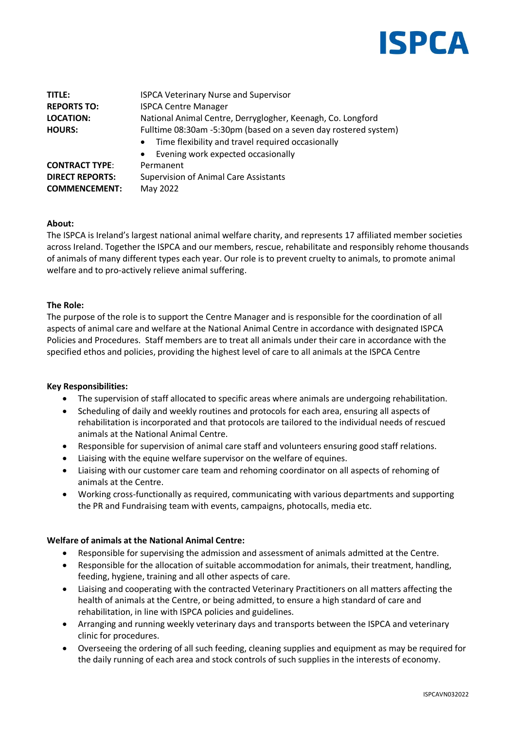

| TITLE:                 | <b>ISPCA Veterinary Nurse and Supervisor</b>                                                                                                                                         |
|------------------------|--------------------------------------------------------------------------------------------------------------------------------------------------------------------------------------|
| <b>REPORTS TO:</b>     | <b>ISPCA Centre Manager</b>                                                                                                                                                          |
| <b>LOCATION:</b>       | National Animal Centre, Derryglogher, Keenagh, Co. Longford                                                                                                                          |
| <b>HOURS:</b>          | Fulltime 08:30am -5:30pm (based on a seven day rostered system)<br>Time flexibility and travel required occasionally<br>$\bullet$<br>Evening work expected occasionally<br>$\bullet$ |
| <b>CONTRACT TYPE:</b>  | Permanent                                                                                                                                                                            |
| <b>DIRECT REPORTS:</b> | <b>Supervision of Animal Care Assistants</b>                                                                                                                                         |
| <b>COMMENCEMENT:</b>   | May 2022                                                                                                                                                                             |

# **About:**

The ISPCA is Ireland's largest national animal welfare charity, and represents 17 affiliated member societies across Ireland. Together the ISPCA and our members, rescue, rehabilitate and responsibly rehome thousands of animals of many different types each year. Our role is to prevent cruelty to animals, to promote animal welfare and to pro-actively relieve animal suffering.

### **The Role:**

The purpose of the role is to support the Centre Manager and is responsible for the coordination of all aspects of animal care and welfare at the National Animal Centre in accordance with designated ISPCA Policies and Procedures. Staff members are to treat all animals under their care in accordance with the specified ethos and policies, providing the highest level of care to all animals at the ISPCA Centre

#### **Key Responsibilities:**

- The supervision of staff allocated to specific areas where animals are undergoing rehabilitation.
- Scheduling of daily and weekly routines and protocols for each area, ensuring all aspects of rehabilitation is incorporated and that protocols are tailored to the individual needs of rescued animals at the National Animal Centre.
- Responsible for supervision of animal care staff and volunteers ensuring good staff relations.
- Liaising with the equine welfare supervisor on the welfare of equines.
- Liaising with our customer care team and rehoming coordinator on all aspects of rehoming of animals at the Centre.
- Working cross-functionally as required, communicating with various departments and supporting the PR and Fundraising team with events, campaigns, photocalls, media etc.

# **Welfare of animals at the National Animal Centre:**

- Responsible for supervising the admission and assessment of animals admitted at the Centre.
- Responsible for the allocation of suitable accommodation for animals, their treatment, handling, feeding, hygiene, training and all other aspects of care.
- Liaising and cooperating with the contracted Veterinary Practitioners on all matters affecting the health of animals at the Centre, or being admitted, to ensure a high standard of care and rehabilitation, in line with ISPCA policies and guidelines.
- Arranging and running weekly veterinary days and transports between the ISPCA and veterinary clinic for procedures.
- Overseeing the ordering of all such feeding, cleaning supplies and equipment as may be required for the daily running of each area and stock controls of such supplies in the interests of economy.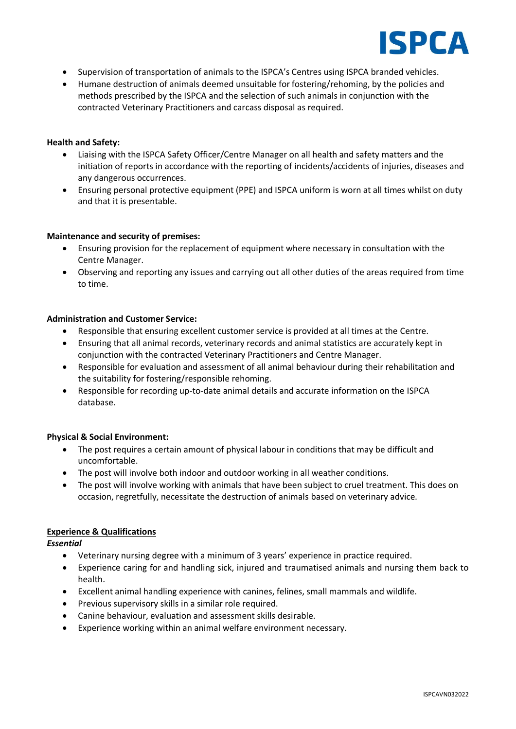

- Supervision of transportation of animals to the ISPCA's Centres using ISPCA branded vehicles.
- Humane destruction of animals deemed unsuitable for fostering/rehoming, by the policies and methods prescribed by the ISPCA and the selection of such animals in conjunction with the contracted Veterinary Practitioners and carcass disposal as required.

### **Health and Safety:**

- Liaising with the ISPCA Safety Officer/Centre Manager on all health and safety matters and the initiation of reports in accordance with the reporting of incidents/accidents of injuries, diseases and any dangerous occurrences.
- Ensuring personal protective equipment (PPE) and ISPCA uniform is worn at all times whilst on duty and that it is presentable.

#### **Maintenance and security of premises:**

- Ensuring provision for the replacement of equipment where necessary in consultation with the Centre Manager.
- Observing and reporting any issues and carrying out all other duties of the areas required from time to time.

### **Administration and Customer Service:**

- Responsible that ensuring excellent customer service is provided at all times at the Centre.
- Ensuring that all animal records, veterinary records and animal statistics are accurately kept in conjunction with the contracted Veterinary Practitioners and Centre Manager.
- Responsible for evaluation and assessment of all animal behaviour during their rehabilitation and the suitability for fostering/responsible rehoming.
- Responsible for recording up-to-date animal details and accurate information on the ISPCA database.

# **Physical & Social Environment:**

- The post requires a certain amount of physical labour in conditions that may be difficult and uncomfortable.
- The post will involve both indoor and outdoor working in all weather conditions.
- The post will involve working with animals that have been subject to cruel treatment. This does on occasion, regretfully, necessitate the destruction of animals based on veterinary advice.

# **Experience & Qualifications**

*Essential*

- Veterinary nursing degree with a minimum of 3 years' experience in practice required.
- Experience caring for and handling sick, injured and traumatised animals and nursing them back to health.
- Excellent animal handling experience with canines, felines, small mammals and wildlife.
- Previous supervisory skills in a similar role required.
- Canine behaviour, evaluation and assessment skills desirable.
- Experience working within an animal welfare environment necessary.